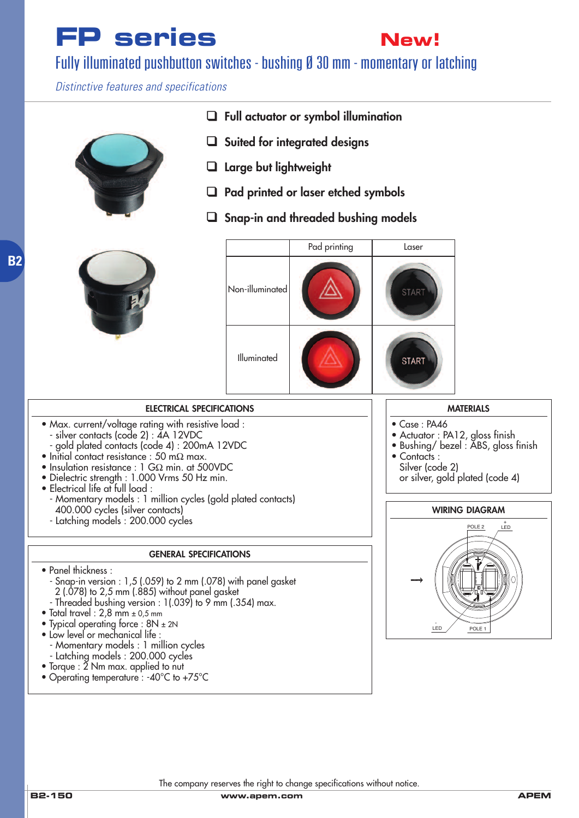# **FP series**



(1.043DIA)

 $\overline{a}$  $\overline{a}$ 

### Fully illuminated pushbutton switches - bushing Ø 30 mm - momentary or latching

*Distinctive features and specifications*



- ❑ **Full actuator or symbol illumination**
- ❑ **Suited for integrated designs**
- ❑ **Large but lightweight**
- ❑ **Pad printed or laser etched symbols** (.020)
- ❑ **Snap-in and threaded bushing models**





 $\overline{\phantom{0}}$ (1.339DIA)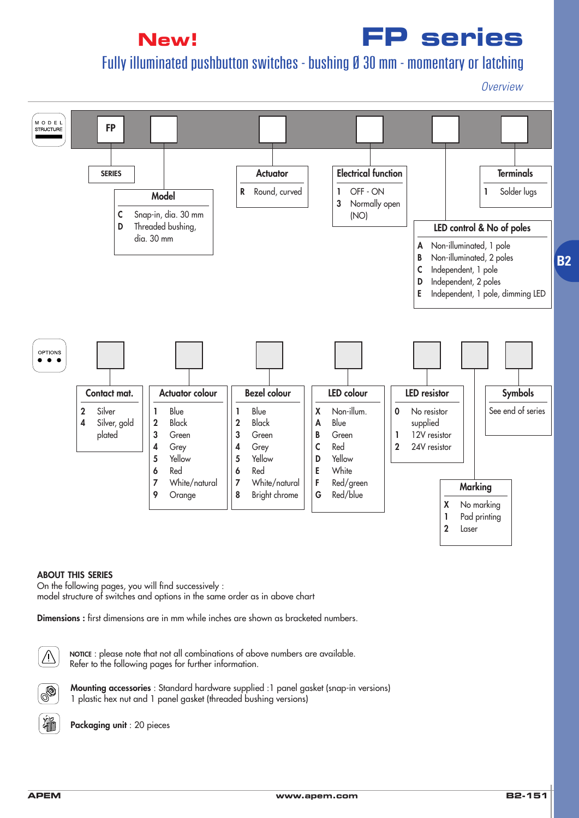## **New!**

## **FP series**

## Fully illuminated pushbutton switches - bushing Ø 30 mm - momentary or latching

*Overview*



#### **ABOUT THIS SERIES**

On the following pages, you will find successively : model structure of switches and options in the same order as in above chart

**Dimensions :** first dimensions are in mm while inches are shown as bracketed numbers.



**NOTICE** : please note that not all combinations of above numbers are available. Refer to the following pages for further information.



**Mounting accessories** : Standard hardware supplied :1 panel gasket (snap-in versions) 1 plastic hex nut and 1 panel gasket (threaded bushing versions)



**Packaging unit** : 20 pieces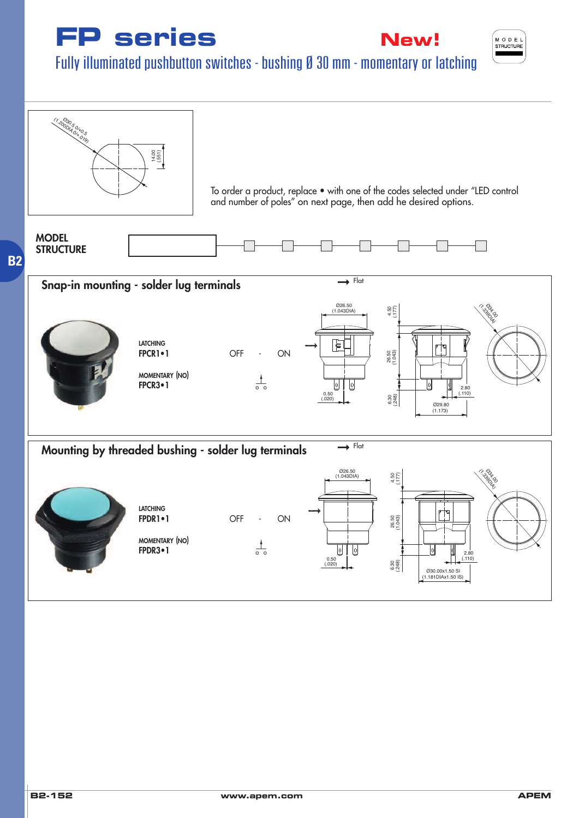





Fully illuminated pushbutton switches - bushing Ø 30 mm - momentary or latching

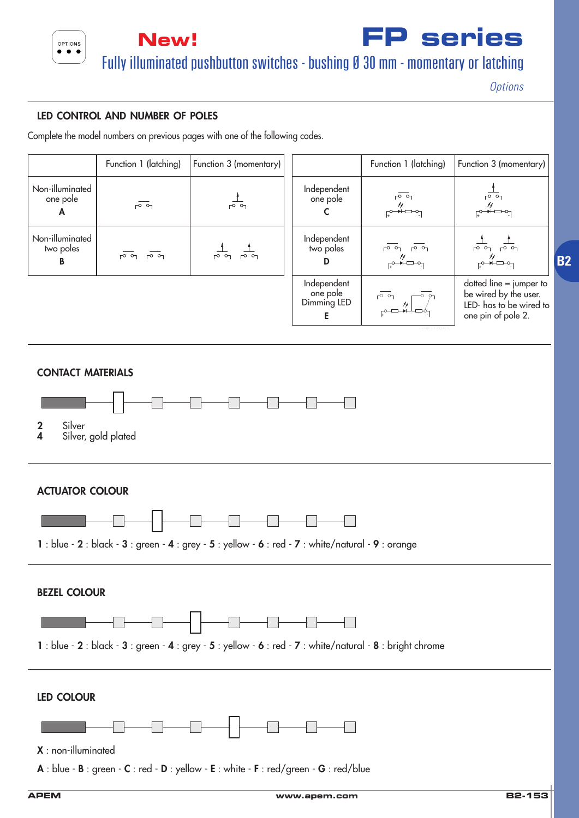

**New! FP series** Fully illuminated pushbutton switches - bushing Ø 30 mm - momentary or latching

*Options*

### **LED CONTROL AND NUMBER OF POLES**

Complete the model numbers on previous pages with one of the following codes.